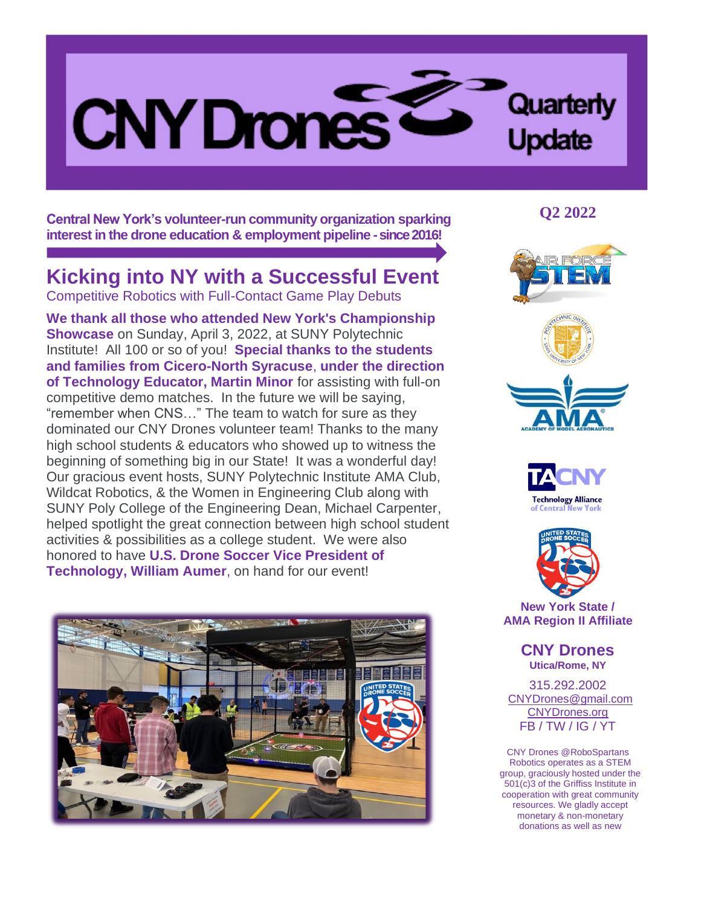

**Central New York's volunteer-run community organization sparking interest in the drone education & employment pipeline -since 2016!**

## **Kicking into NY with a Successful Event**

Competitive Robotics with Full-Contact Game Play Debuts

**We thank all those who attended New York's Championship Showcase** on Sunday, April 3, 2022, at SUNY Polytechnic Institute! All 100 or so of you! **Special thanks to the students and families from Cicero-North Syracuse**, **under the direction of Technology Educator, Martin Minor** for assisting with full-on competitive demo matches. In the future we will be saying, "remember when CNS…" The team to watch for sure as they dominated our CNY Drones volunteer team! Thanks to the many high school students & educators who showed up to witness the beginning of something big in our State! It was a wonderful day! Our gracious event hosts, SUNY Polytechnic Institute AMA Club, Wildcat Robotics, & the Women in Engineering Club along with SUNY Poly College of the Engineering Dean, Michael Carpenter, helped spotlight the great connection between high school student activities & possibilities as a college student. We were also honored to have **U.S. Drone Soccer Vice President of Technology, William Aumer**, on hand for our event!



**Q2 2022**







**New York State / AMA Region II Affiliate**

> **CNY Drones Utica/Rome, NY**

315.292.2002 CNYDrones@gmail.com [CNYDrones.org](http://www.cnydrones.org/) FB / TW / IG / YT

CNY Drones @RoboSpartans Robotics operates as a STEM group, graciously hosted under the 501(c)3 of the Griffiss Institute in cooperation with great community resources. We gladly accept monetary & non-monetary donations as well as new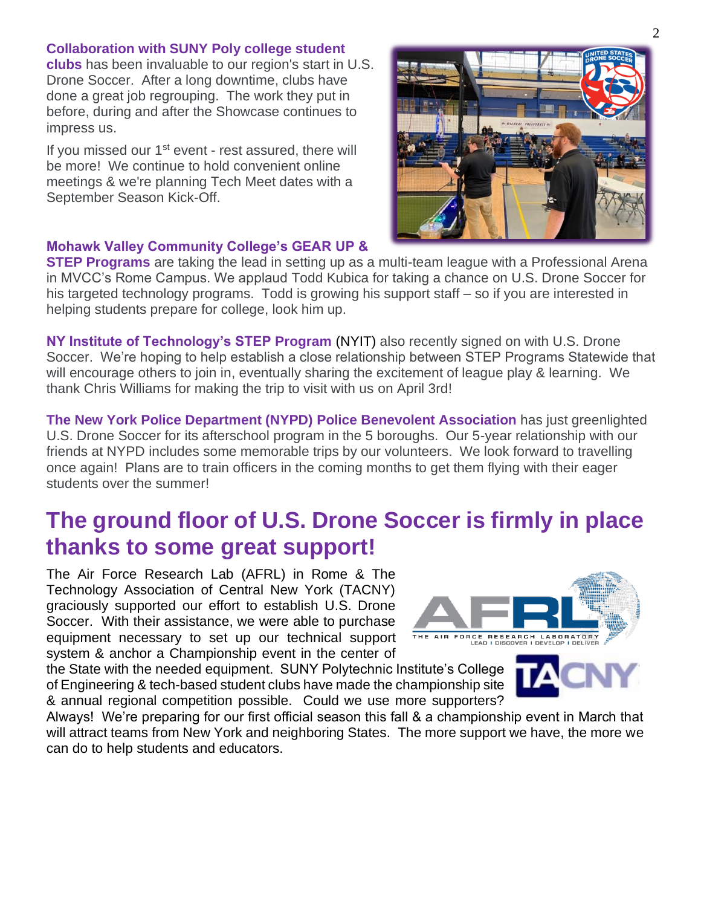#### **Collaboration with SUNY Poly college student**

**clubs** has been invaluable to our region's start in U.S. Drone Soccer. After a long downtime, clubs have done a great job regrouping. The work they put in before, during and after the Showcase continues to impress us.

If you missed our  $1<sup>st</sup>$  event - rest assured, there will be more! We continue to hold convenient online meetings & we're planning Tech Meet dates with a September Season Kick-Off.

#### **Mohawk Valley Community College's GEAR UP &**

**STEP Programs** are taking the lead in setting up as a multi-team league with a Professional Arena in MVCC's Rome Campus. We applaud Todd Kubica for taking a chance on U.S. Drone Soccer for his targeted technology programs. Todd is growing his support staff – so if you are interested in helping students prepare for college, look him up.

**NY Institute of Technology's STEP Program** (NYIT) also recently signed on with U.S. Drone Soccer. We're hoping to help establish a close relationship between STEP Programs Statewide that will encourage others to join in, eventually sharing the excitement of league play & learning. We thank Chris Williams for making the trip to visit with us on April 3rd!

**The New York Police Department (NYPD) Police Benevolent Association** has just greenlighted U.S. Drone Soccer for its afterschool program in the 5 boroughs. Our 5-year relationship with our friends at NYPD includes some memorable trips by our volunteers. We look forward to travelling once again! Plans are to train officers in the coming months to get them flying with their eager students over the summer!

# **The ground floor of U.S. Drone Soccer is firmly in place thanks to some great support!**

The Air Force Research Lab (AFRL) in Rome & The Technology Association of Central New York (TACNY) graciously supported our effort to establish U.S. Drone Soccer. With their assistance, we were able to purchase equipment necessary to set up our technical support system & anchor a Championship event in the center of

the State with the needed equipment. SUNY Polytechnic Institute's College of Engineering & tech-based student clubs have made the championship site & annual regional competition possible. Could we use more supporters?

Always! We're preparing for our first official season this fall & a championship event in March that will attract teams from New York and neighboring States. The more support we have, the more we can do to help students and educators.







2